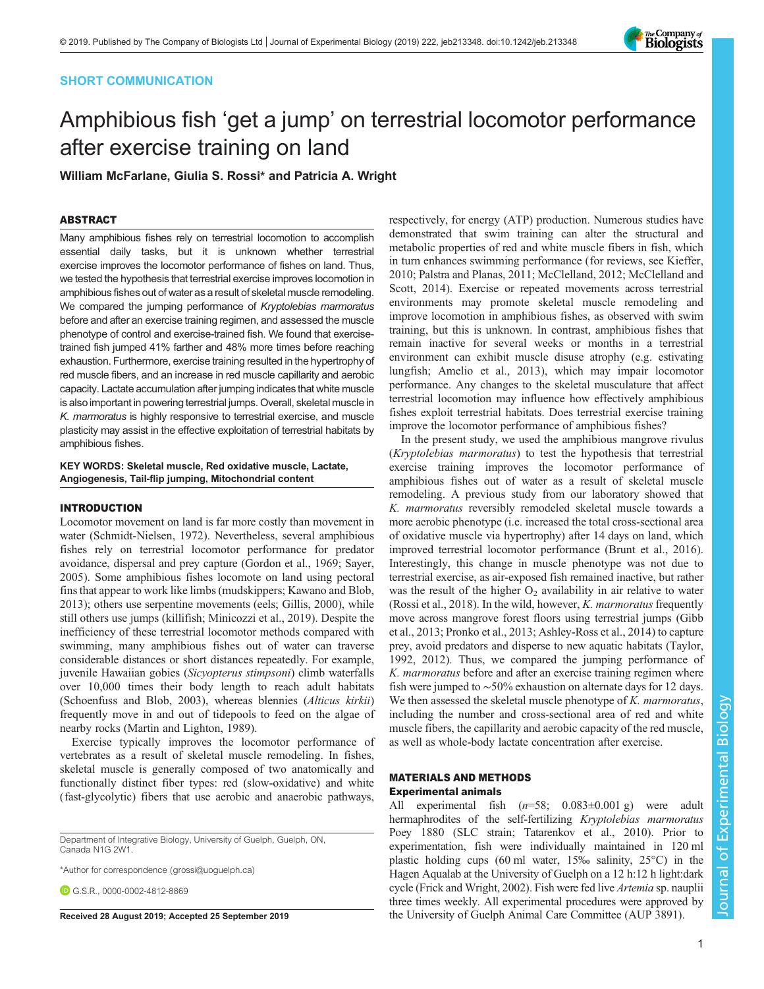# SHORT COMMUNICATION



# Amphibious fish 'get a jump' on terrestrial locomotor performance after exercise training on land

William McFarlane, Giulia S. Rossi\* and Patricia A. Wright

## ABSTRACT

Many amphibious fishes rely on terrestrial locomotion to accomplish essential daily tasks, but it is unknown whether terrestrial exercise improves the locomotor performance of fishes on land. Thus, we tested the hypothesis that terrestrial exercise improves locomotion in amphibious fishes out of water as a result of skeletal muscle remodeling. We compared the jumping performance of Kryptolebias marmoratus before and after an exercise training regimen, and assessed the muscle phenotype of control and exercise-trained fish. We found that exercisetrained fish jumped 41% farther and 48% more times before reaching exhaustion. Furthermore, exercise training resulted in the hypertrophy of red muscle fibers, and an increase in red muscle capillarity and aerobic capacity. Lactate accumulation after jumping indicates that white muscle is also important in powering terrestrial jumps. Overall, skeletal muscle in K. marmoratus is highly responsive to terrestrial exercise, and muscle plasticity may assist in the effective exploitation of terrestrial habitats by amphibious fishes.

KEY WORDS: Skeletal muscle, Red oxidative muscle, Lactate, Angiogenesis, Tail-flip jumping, Mitochondrial content

# INTRODUCTION

Locomotor movement on land is far more costly than movement in water ([Schmidt-Nielsen, 1972](#page-4-0)). Nevertheless, several amphibious fishes rely on terrestrial locomotor performance for predator avoidance, dispersal and prey capture [\(Gordon et al., 1969](#page-4-0); [Sayer,](#page-4-0) [2005](#page-4-0)). Some amphibious fishes locomote on land using pectoral fins that appear to work like limbs (mudskippers; [Kawano and Blob,](#page-4-0) [2013](#page-4-0)); others use serpentine movements (eels; [Gillis, 2000\)](#page-4-0), while still others use jumps (killifish; [Minicozzi et al., 2019\)](#page-4-0). Despite the inefficiency of these terrestrial locomotor methods compared with swimming, many amphibious fishes out of water can traverse considerable distances or short distances repeatedly. For example, juvenile Hawaiian gobies (Sicyopterus stimpsoni) climb waterfalls over 10,000 times their body length to reach adult habitats [\(Schoenfuss and Blob, 2003\)](#page-4-0), whereas blennies (Alticus kirkii) frequently move in and out of tidepools to feed on the algae of nearby rocks [\(Martin and Lighton, 1989\)](#page-4-0).

Exercise typically improves the locomotor performance of vertebrates as a result of skeletal muscle remodeling. In fishes, skeletal muscle is generally composed of two anatomically and functionally distinct fiber types: red (slow-oxidative) and white (fast-glycolytic) fibers that use aerobic and anaerobic pathways,

Department of Integrative Biology, University of Guelph, Guelph, ON, Canada N1G 2W1.

\*Author for correspondence [\(grossi@uoguelph.ca](mailto:grossi@uoguelph.ca))

G.S.R., [0000-0002-4812-8869](http://orcid.org/0000-0002-4812-8869)

respectively, for energy (ATP) production. Numerous studies have demonstrated that swim training can alter the structural and metabolic properties of red and white muscle fibers in fish, which in turn enhances swimming performance (for reviews, see [Kieffer,](#page-4-0) [2010; Palstra and Planas, 2011](#page-4-0); [McClelland, 2012](#page-4-0); [McClelland and](#page-4-0) [Scott, 2014](#page-4-0)). Exercise or repeated movements across terrestrial environments may promote skeletal muscle remodeling and improve locomotion in amphibious fishes, as observed with swim training, but this is unknown. In contrast, amphibious fishes that remain inactive for several weeks or months in a terrestrial environment can exhibit muscle disuse atrophy (e.g. estivating lungfish; [Amelio et al., 2013\)](#page-4-0), which may impair locomotor performance. Any changes to the skeletal musculature that affect terrestrial locomotion may influence how effectively amphibious fishes exploit terrestrial habitats. Does terrestrial exercise training improve the locomotor performance of amphibious fishes?

In the present study, we used the amphibious mangrove rivulus (Kryptolebias marmoratus) to test the hypothesis that terrestrial exercise training improves the locomotor performance of amphibious fishes out of water as a result of skeletal muscle remodeling. A previous study from our laboratory showed that K. marmoratus reversibly remodeled skeletal muscle towards a more aerobic phenotype (i.e. increased the total cross-sectional area of oxidative muscle via hypertrophy) after 14 days on land, which improved terrestrial locomotor performance ([Brunt et al., 2016\)](#page-4-0). Interestingly, this change in muscle phenotype was not due to terrestrial exercise, as air-exposed fish remained inactive, but rather was the result of the higher  $O_2$  availability in air relative to water [\(Rossi et al., 2018](#page-4-0)). In the wild, however,  $K$ . *marmoratus* frequently move across mangrove forest floors using terrestrial jumps [\(Gibb](#page-4-0) [et al., 2013; Pronko et al., 2013](#page-4-0); [Ashley-Ross et al., 2014](#page-4-0)) to capture prey, avoid predators and disperse to new aquatic habitats ([Taylor,](#page-5-0) [1992, 2012](#page-5-0)). Thus, we compared the jumping performance of K. marmoratus before and after an exercise training regimen where fish were jumped to ∼50% exhaustion on alternate days for 12 days. We then assessed the skeletal muscle phenotype of  $K$ . *marmoratus*, including the number and cross-sectional area of red and white muscle fibers, the capillarity and aerobic capacity of the red muscle, as well as whole-body lactate concentration after exercise.

# MATERIALS AND METHODS Experimental animals

All experimental fish  $(n=58; 0.083\pm0.001 \text{ g})$  were adult hermaphrodites of the self-fertilizing *Kryptolebias marmoratus* Poey 1880 (SLC strain; [Tatarenkov et al., 2010\)](#page-5-0). Prior to experimentation, fish were individually maintained in 120 ml plastic holding cups (60 ml water, 15‰ salinity, 25°C) in the Hagen Aqualab at the University of Guelph on a 12 h:12 h light:dark cycle [\(Frick and Wright, 2002](#page-4-0)). Fish were fed live Artemia sp. nauplii three times weekly. All experimental procedures were approved by Received 28 August 2019; Accepted 25 September 2019 the University of Guelph Animal Care Committee (AUP 3891).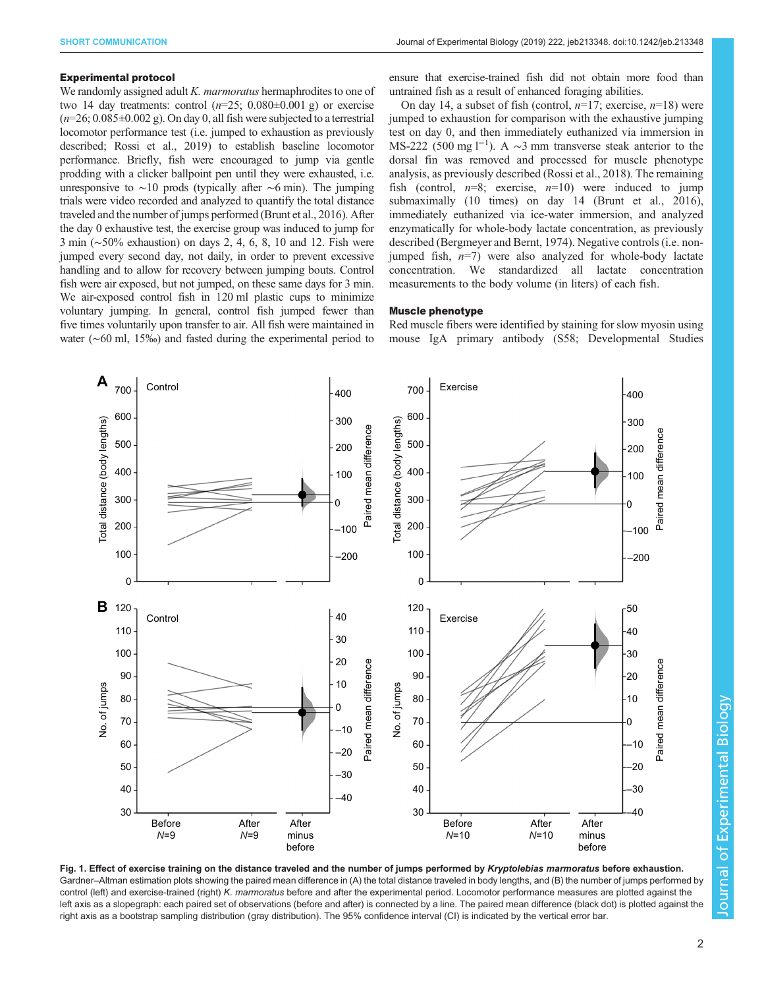## <span id="page-1-0"></span>Experimental protocol

We randomly assigned adult *K. marmoratus* hermaphrodites to one of two 14 day treatments: control  $(n=25; 0.080\pm0.001)$  g) or exercise  $(n=26; 0.085\pm0.002 \text{ g})$ . On day 0, all fish were subjected to a terrestrial locomotor performance test (i.e. jumped to exhaustion as previously described; [Rossi et al., 2019](#page-4-0)) to establish baseline locomotor performance. Briefly, fish were encouraged to jump via gentle prodding with a clicker ballpoint pen until they were exhausted, i.e. unresponsive to ∼10 prods (typically after ∼6 min). The jumping trials were video recorded and analyzed to quantify the total distance traveled and the number of jumps performed ([Brunt et al., 2016\)](#page-4-0). After the day 0 exhaustive test, the exercise group was induced to jump for 3 min (∼50% exhaustion) on days 2, 4, 6, 8, 10 and 12. Fish were jumped every second day, not daily, in order to prevent excessive handling and to allow for recovery between jumping bouts. Control fish were air exposed, but not jumped, on these same days for 3 min. We air-exposed control fish in 120 ml plastic cups to minimize voluntary jumping. In general, control fish jumped fewer than five times voluntarily upon transfer to air. All fish were maintained in water (∼60 ml, 15‰) and fasted during the experimental period to

ensure that exercise-trained fish did not obtain more food than untrained fish as a result of enhanced foraging abilities.

On day 14, a subset of fish (control,  $n=17$ ; exercise,  $n=18$ ) were jumped to exhaustion for comparison with the exhaustive jumping test on day 0, and then immediately euthanized via immersion in MS-222 (500 mg l<sup>-1</sup>). A ~3 mm transverse steak anterior to the dorsal fin was removed and processed for muscle phenotype analysis, as previously described ([Rossi et al., 2018](#page-4-0)). The remaining fish (control,  $n=8$ ; exercise,  $n=10$ ) were induced to jump submaximally (10 times) on day 14 ([Brunt et al., 2016\)](#page-4-0), immediately euthanized via ice-water immersion, and analyzed enzymatically for whole-body lactate concentration, as previously described ([Bergmeyer and Bernt, 1974\)](#page-4-0). Negative controls (i.e. nonjumped fish,  $n=7$ ) were also analyzed for whole-body lactate concentration. We standardized all lactate concentration measurements to the body volume (in liters) of each fish.

## Muscle phenotype

Red muscle fibers were identified by staining for slow myosin using mouse IgA primary antibody (S58; Developmental Studies



Fig. 1. Effect of exercise training on the distance traveled and the number of jumps performed by Kryptolebias marmoratus before exhaustion. Gardner–Altman estimation plots showing the paired mean difference in (A) the total distance traveled in body lengths, and (B) the number of jumps performed by control (left) and exercise-trained (right) K. marmoratus before and after the experimental period. Locomotor performance measures are plotted against the left axis as a slopegraph: each paired set of observations (before and after) is connected by a line. The paired mean difference (black dot) is plotted against the right axis as a bootstrap sampling distribution (gray distribution). The 95% confidence interval (CI) is indicated by the vertical error bar.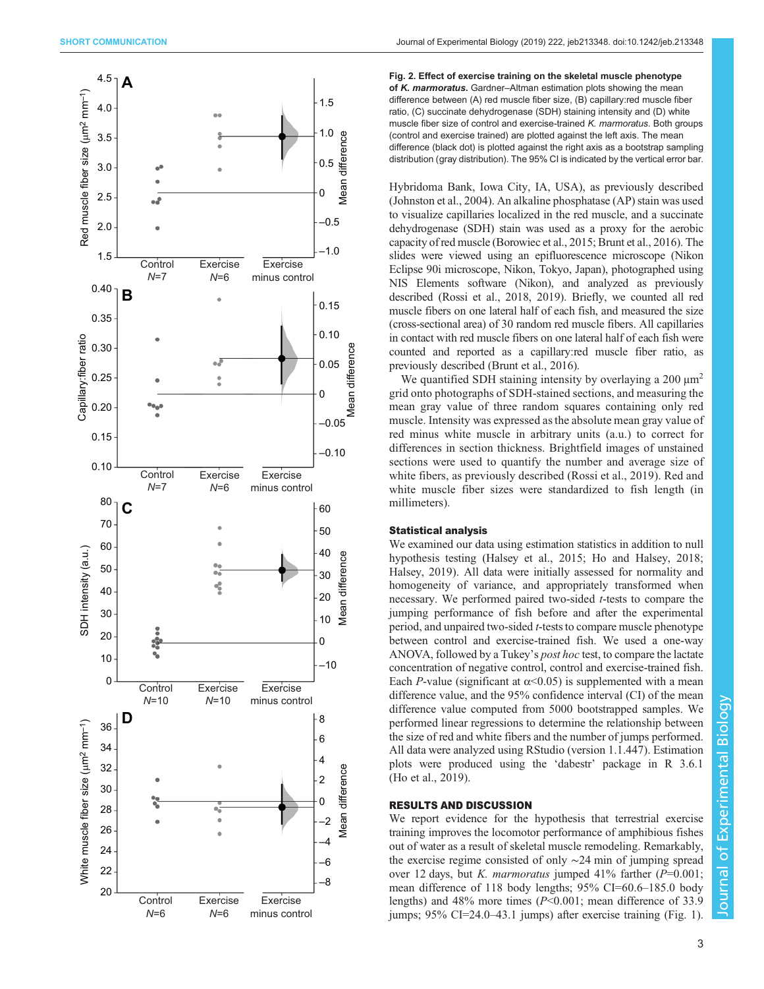<span id="page-2-0"></span>

Fig. 2. Effect of exercise training on the skeletal muscle phenotype of K. marmoratus. Gardner-Altman estimation plots showing the mean difference between (A) red muscle fiber size, (B) capillary:red muscle fiber ratio, (C) succinate dehydrogenase (SDH) staining intensity and (D) white muscle fiber size of control and exercise-trained K. marmoratus. Both groups (control and exercise trained) are plotted against the left axis. The mean difference (black dot) is plotted against the right axis as a bootstrap sampling distribution (gray distribution). The 95% CI is indicated by the vertical error bar.

Hybridoma Bank, Iowa City, IA, USA), as previously described [\(Johnston et al., 2004](#page-4-0)). An alkaline phosphatase (AP) stain was used to visualize capillaries localized in the red muscle, and a succinate dehydrogenase (SDH) stain was used as a proxy for the aerobic capacity of red muscle ([Borowiec et al., 2015](#page-4-0); [Brunt et al., 2016](#page-4-0)). The slides were viewed using an epifluorescence microscope (Nikon Eclipse 90i microscope, Nikon, Tokyo, Japan), photographed using NIS Elements software (Nikon), and analyzed as previously described [\(Rossi et al., 2018, 2019](#page-4-0)). Briefly, we counted all red muscle fibers on one lateral half of each fish, and measured the size (cross-sectional area) of 30 random red muscle fibers. All capillaries in contact with red muscle fibers on one lateral half of each fish were counted and reported as a capillary:red muscle fiber ratio, as previously described [\(Brunt et al., 2016\)](#page-4-0).

We quantified SDH staining intensity by overlaying a 200  $\mu$ m<sup>2</sup> grid onto photographs of SDH-stained sections, and measuring the mean gray value of three random squares containing only red muscle. Intensity was expressed as the absolute mean gray value of red minus white muscle in arbitrary units (a.u.) to correct for differences in section thickness. Brightfield images of unstained sections were used to quantify the number and average size of white fibers, as previously described ([Rossi et al., 2019](#page-4-0)). Red and white muscle fiber sizes were standardized to fish length (in millimeters).

## Statistical analysis

We examined our data using estimation statistics in addition to null hypothesis testing ([Halsey et al., 2015](#page-4-0); Ho and Halsey, 2018; [Halsey, 2019\)](#page-4-0). All data were initially assessed for normality and homogeneity of variance, and appropriately transformed when necessary. We performed paired two-sided t-tests to compare the jumping performance of fish before and after the experimental period, and unpaired two-sided t-tests to compare muscle phenotype between control and exercise-trained fish. We used a one-way ANOVA, followed by a Tukey's post hoc test, to compare the lactate concentration of negative control, control and exercise-trained fish. Each P-value (significant at  $\alpha$ <0.05) is supplemented with a mean difference value, and the 95% confidence interval (CI) of the mean difference value computed from 5000 bootstrapped samples. We performed linear regressions to determine the relationship between the size of red and white fibers and the number of jumps performed. All data were analyzed using RStudio (version 1.1.447). Estimation plots were produced using the 'dabestr' package in R 3.6.1 [\(Ho et al., 2019\)](#page-4-0).

# RESULTS AND DISCUSSION

We report evidence for the hypothesis that terrestrial exercise training improves the locomotor performance of amphibious fishes out of water as a result of skeletal muscle remodeling. Remarkably, the exercise regime consisted of only ∼24 min of jumping spread over 12 days, but K. marmoratus jumped  $41\%$  farther ( $P=0.001$ ; mean difference of 118 body lengths; 95% CI=60.6–185.0 body lengths) and 48% more times (P<0.001; mean difference of 33.9 jumps; 95% CI=24.0–43.1 jumps) after exercise training ([Fig. 1\)](#page-1-0).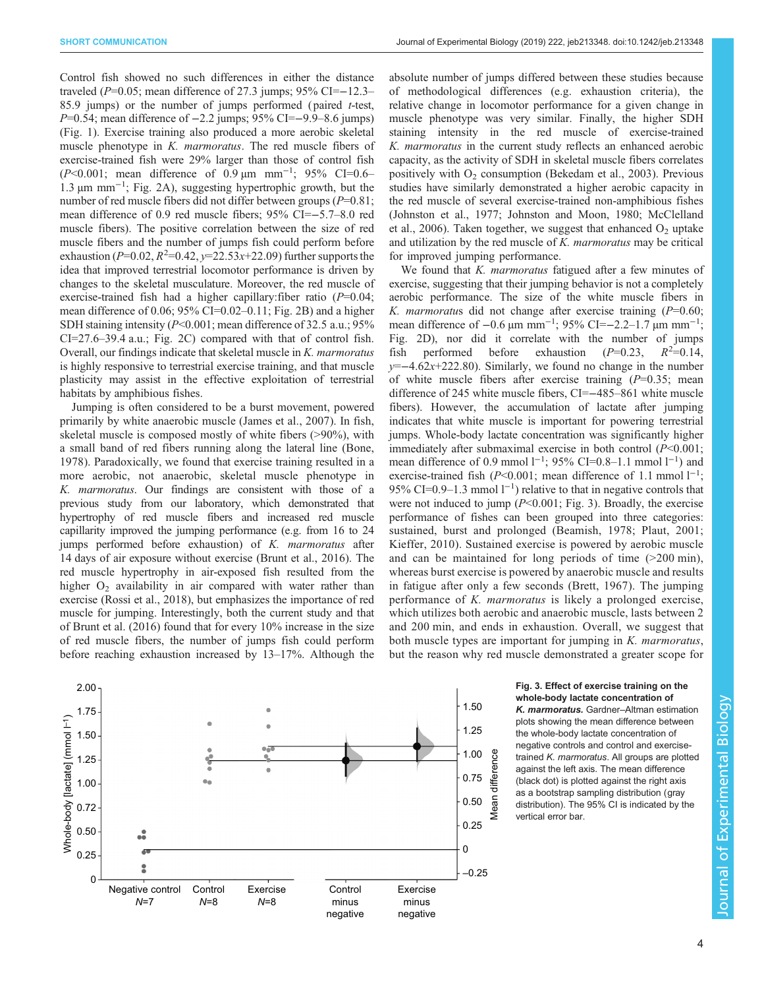Control fish showed no such differences in either the distance traveled ( $P=0.05$ ; mean difference of 27.3 jumps; 95% CI=−12.3– 85.9 jumps) or the number of jumps performed (paired t-test, P=0.54; mean difference of -2.2 jumps; 95% CI=-9.9–8.6 jumps) [\(Fig. 1](#page-1-0)). Exercise training also produced a more aerobic skeletal muscle phenotype in K. marmoratus. The red muscle fibers of exercise-trained fish were 29% larger than those of control fish (P<0.001; mean difference of 0.9 μm mm<sup>-1</sup>; 95% CI=0.6– 1.3 µm mm−<sup>1</sup> ; [Fig. 2A](#page-2-0)), suggesting hypertrophic growth, but the number of red muscle fibers did not differ between groups  $(P=0.81)$ ; mean difference of 0.9 red muscle fibers; 95% CI=−5.7–8.0 red muscle fibers). The positive correlation between the size of red muscle fibers and the number of jumps fish could perform before exhaustion ( $P=0.02$ ,  $R^2=0.42$ ,  $y=22.53x+22.09$ ) further supports the idea that improved terrestrial locomotor performance is driven by changes to the skeletal musculature. Moreover, the red muscle of exercise-trained fish had a higher capillary: fiber ratio  $(P=0.04;$ mean difference of 0.06; 95% CI=0.02–0.11; [Fig. 2B](#page-2-0)) and a higher SDH staining intensity  $(P<0.001)$ ; mean difference of 32.5 a.u.; 95% CI=27.6–39.4 a.u.; [Fig. 2](#page-2-0)C) compared with that of control fish. Overall, our findings indicate that skeletal muscle in K. marmoratus is highly responsive to terrestrial exercise training, and that muscle plasticity may assist in the effective exploitation of terrestrial habitats by amphibious fishes.

Jumping is often considered to be a burst movement, powered primarily by white anaerobic muscle ([James et al., 2007](#page-4-0)). In fish, skeletal muscle is composed mostly of white fibers (>90%), with a small band of red fibers running along the lateral line [\(Bone,](#page-4-0) [1978](#page-4-0)). Paradoxically, we found that exercise training resulted in a more aerobic, not anaerobic, skeletal muscle phenotype in K. marmoratus. Our findings are consistent with those of a previous study from our laboratory, which demonstrated that hypertrophy of red muscle fibers and increased red muscle capillarity improved the jumping performance (e.g. from 16 to 24 jumps performed before exhaustion) of K. marmoratus after 14 days of air exposure without exercise ([Brunt et al., 2016\)](#page-4-0). The red muscle hypertrophy in air-exposed fish resulted from the higher  $O_2$  availability in air compared with water rather than exercise [\(Rossi et al., 2018\)](#page-4-0), but emphasizes the importance of red muscle for jumping. Interestingly, both the current study and that of [Brunt et al. \(2016\)](#page-4-0) found that for every 10% increase in the size of red muscle fibers, the number of jumps fish could perform before reaching exhaustion increased by 13–17%. Although the



absolute number of jumps differed between these studies because of methodological differences (e.g. exhaustion criteria), the relative change in locomotor performance for a given change in muscle phenotype was very similar. Finally, the higher SDH staining intensity in the red muscle of exercise-trained K. marmoratus in the current study reflects an enhanced aerobic capacity, as the activity of SDH in skeletal muscle fibers correlates positively with  $O<sub>2</sub>$  consumption ([Bekedam et al., 2003\)](#page-4-0). Previous studies have similarly demonstrated a higher aerobic capacity in the red muscle of several exercise-trained non-amphibious fishes [\(Johnston et al., 1977; Johnston and Moon, 1980](#page-4-0); [McClelland](#page-4-0) [et al., 2006](#page-4-0)). Taken together, we suggest that enhanced  $O_2$  uptake and utilization by the red muscle of K. marmoratus may be critical for improved jumping performance.

We found that K. *marmoratus* fatigued after a few minutes of exercise, suggesting that their jumping behavior is not a completely aerobic performance. The size of the white muscle fibers in K. marmoratus did not change after exercise training  $(P=0.60;$ mean difference of  $-0.6 \,\mu m \, \text{mm}^{-1}$ ; 95% CI= $-2.2-1.7 \,\mu m \, \text{mm}^{-1}$ ; [Fig. 2D](#page-2-0)), nor did it correlate with the number of jumps fish performed before exhaustion  $(P=0.23)$ ,  $R^2=0.14$ ,  $y=-4.62x+222.80$ ). Similarly, we found no change in the number of white muscle fibers after exercise training  $(P=0.35; \text{ mean})$ difference of 245 white muscle fibers, CI=−485–861 white muscle fibers). However, the accumulation of lactate after jumping indicates that white muscle is important for powering terrestrial jumps. Whole-body lactate concentration was significantly higher immediately after submaximal exercise in both control  $(P<0.001)$ ; mean difference of 0.9 mmol  $1^{-1}$ ; 95% CI=0.8–1.1 mmol  $1^{-1}$ ) and exercise-trained fish ( $P \le 0.001$ ; mean difference of 1.1 mmol  $1^{-1}$ ; 95% CI=0.9–1.3 mmol  $1^{-1}$ ) relative to that in negative controls that were not induced to jump  $(P<0.001; Fig. 3)$ . Broadly, the exercise performance of fishes can been grouped into three categories: sustained, burst and prolonged ([Beamish, 1978; Plaut, 2001](#page-4-0); [Kieffer, 2010\)](#page-4-0). Sustained exercise is powered by aerobic muscle and can be maintained for long periods of time (>200 min), whereas burst exercise is powered by anaerobic muscle and results in fatigue after only a few seconds ([Brett, 1967\)](#page-4-0). The jumping performance of K. marmoratus is likely a prolonged exercise, which utilizes both aerobic and anaerobic muscle, lasts between 2 and 200 min, and ends in exhaustion. Overall, we suggest that both muscle types are important for jumping in *K. marmoratus*, but the reason why red muscle demonstrated a greater scope for

> Fig. 3. Effect of exercise training on the whole-body lactate concentration of K. marmoratus. Gardner–Altman estimation plots showing the mean difference between the whole-body lactate concentration of negative controls and control and exercisetrained K. marmoratus. All groups are plotted against the left axis. The mean difference (black dot) is plotted against the right axis as a bootstrap sampling distribution (gray distribution). The 95% CI is indicated by the vertical error bar.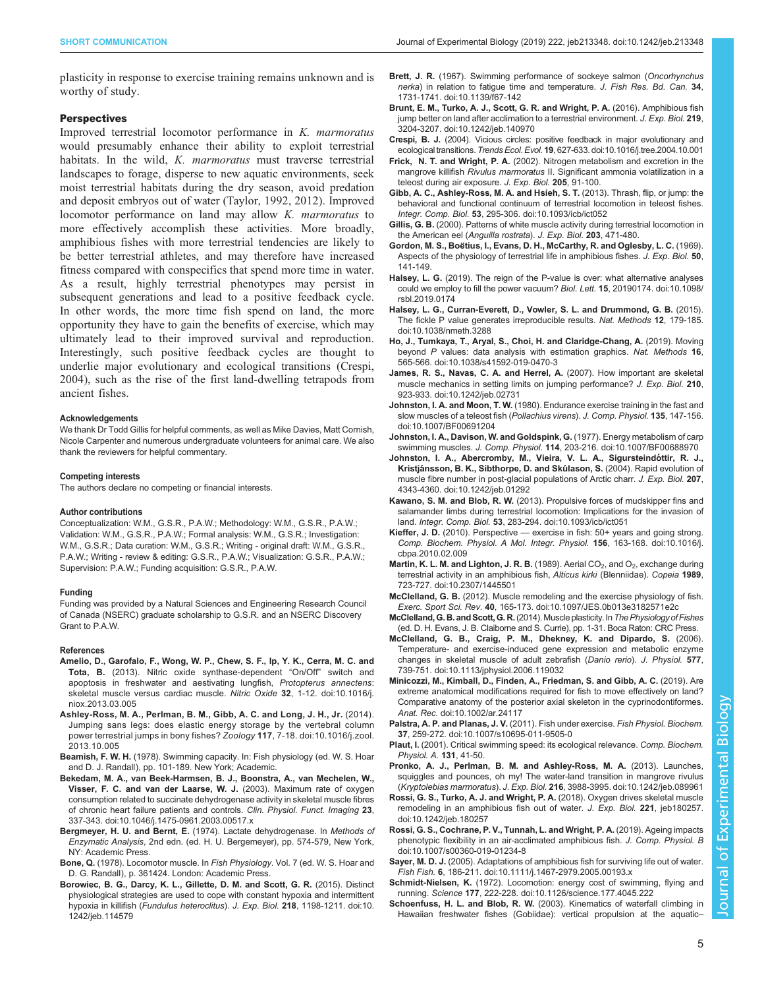<span id="page-4-0"></span>plasticity in response to exercise training remains unknown and is worthy of study.

## **Perspectives**

Improved terrestrial locomotor performance in K. marmoratus would presumably enhance their ability to exploit terrestrial habitats. In the wild, K. marmoratus must traverse terrestrial landscapes to forage, disperse to new aquatic environments, seek moist terrestrial habitats during the dry season, avoid predation and deposit embryos out of water ([Taylor, 1992](#page-5-0), [2012](#page-5-0)). Improved locomotor performance on land may allow K. marmoratus to more effectively accomplish these activities. More broadly, amphibious fishes with more terrestrial tendencies are likely to be better terrestrial athletes, and may therefore have increased fitness compared with conspecifics that spend more time in water. As a result, highly terrestrial phenotypes may persist in subsequent generations and lead to a positive feedback cycle. In other words, the more time fish spend on land, the more opportunity they have to gain the benefits of exercise, which may ultimately lead to their improved survival and reproduction. Interestingly, such positive feedback cycles are thought to underlie major evolutionary and ecological transitions (Crespi, 2004), such as the rise of the first land-dwelling tetrapods from ancient fishes.

### Acknowledgements

We thank Dr Todd Gillis for helpful comments, as well as Mike Davies, Matt Cornish, Nicole Carpenter and numerous undergraduate volunteers for animal care. We also thank the reviewers for helpful commentary.

#### Competing interests

The authors declare no competing or financial interests.

#### Author contributions

Conceptualization: W.M., G.S.R., P.A.W.; Methodology: W.M., G.S.R., P.A.W.; Validation: W.M., G.S.R., P.A.W.; Formal analysis: W.M., G.S.R.; Investigation: W.M., G.S.R.; Data curation: W.M., G.S.R.; Writing - original draft: W.M., G.S.R., P.A.W.; Writing - review & editing: G.S.R., P.A.W.; Visualization: G.S.R., P.A.W.; Supervision: P.A.W.; Funding acquisition: G.S.R., P.A.W.

#### Funding

Funding was provided by a Natural Sciences and Engineering Research Council of Canada (NSERC) graduate scholarship to G.S.R. and an NSERC Discovery Grant to P.A.W.

#### References

- [Amelio, D., Garofalo, F., Wong, W. P., Chew, S. F., Ip, Y. K., Cerra, M. C. and](https://doi.org/10.1016/j.niox.2013.03.005) Tota, B. [\(2013\). Nitric oxide synthase-dependent](https://doi.org/10.1016/j.niox.2013.03.005) "On/Off" switch and [apoptosis in freshwater and aestivating lungfish,](https://doi.org/10.1016/j.niox.2013.03.005) Protopterus annectens: [skeletal muscle versus cardiac muscle.](https://doi.org/10.1016/j.niox.2013.03.005) Nitric Oxide 32, 1-12. doi:10.1016/j. [niox.2013.03.005](https://doi.org/10.1016/j.niox.2013.03.005)
- [Ashley-Ross, M. A., Perlman, B. M., Gibb, A. C. and Long, J. H., Jr.](https://doi.org/10.1016/j.zool.2013.10.005) (2014). [Jumping sans legs: does elastic energy storage by the vertebral column](https://doi.org/10.1016/j.zool.2013.10.005) [power terrestrial jumps in bony fishes?](https://doi.org/10.1016/j.zool.2013.10.005) Zoology 117, 7-18. doi:10.1016/j.zool. [2013.10.005](https://doi.org/10.1016/j.zool.2013.10.005)
- Beamish, F. W. H. (1978). Swimming capacity. In: Fish physiology (ed. W. S. Hoar and D. J. Randall), pp. 101-189. New York; Academic.
- [Bekedam, M. A., van Beek-Harmsen, B. J., Boonstra, A., van Mechelen, W.,](https://doi.org/10.1046/j.1475-0961.2003.00517.x) [Visser, F. C. and van der Laarse, W. J.](https://doi.org/10.1046/j.1475-0961.2003.00517.x) (2003). Maximum rate of oxygen [consumption related to succinate dehydrogenase activity in skeletal muscle fibres](https://doi.org/10.1046/j.1475-0961.2003.00517.x) [of chronic heart failure patients and controls.](https://doi.org/10.1046/j.1475-0961.2003.00517.x) Clin. Physiol. Funct. Imaging 23, [337-343. doi:10.1046/j.1475-0961.2003.00517.x](https://doi.org/10.1046/j.1475-0961.2003.00517.x)
- Bergmeyer, H. U. and Bernt, E. (1974). Lactate dehydrogenase. In Methods of Enzymatic Analysis, 2nd edn. (ed. H. U. Bergemeyer), pp. 574-579, New York, NY: Academic Press.
- Bone, Q. (1978). Locomotor muscle. In Fish Physiology. Vol. 7 (ed. W. S. Hoar and D. G. Randall), p. 361424. London: Academic Press.
- [Borowiec, B. G., Darcy, K. L., Gillette, D. M. and Scott, G. R.](https://doi.org/10.1242/jeb.114579) (2015). Distinct [physiological strategies are used to cope with constant hypoxia and intermittent](https://doi.org/10.1242/jeb.114579) hypoxia in killifish ([Fundulus heteroclitus](https://doi.org/10.1242/jeb.114579)). J. Exp. Biol. 218, 1198-1211. doi:10. [1242/jeb.114579](https://doi.org/10.1242/jeb.114579)
- Brett, J. R. [\(1967\). Swimming performance of sockeye salmon \(](https://doi.org/10.1139/f67-142)Oncorhynchus nerka[\) in relation to fatigue time and temperature.](https://doi.org/10.1139/f67-142) J. Fish Res. Bd. Can. 34, [1731-1741. doi:10.1139/f67-142](https://doi.org/10.1139/f67-142)
- [Brunt, E. M., Turko, A. J., Scott, G. R. and Wright, P. A.](https://doi.org/10.1242/jeb.140970) (2016). Amphibious fish [jump better on land after acclimation to a terrestrial environment](https://doi.org/10.1242/jeb.140970). J. Exp. Biol. 219, [3204-3207. doi:10.1242/jeb.140970](https://doi.org/10.1242/jeb.140970)
- Crespi, B. J. [\(2004\). Vicious circles: positive feedback in major evolutionary and](https://doi.org/10.1016/j.tree.2004.10.001) ecological transitions.Trends Ecol. Evol. 19[, 627-633. doi:10.1016/j.tree.2004.10.001](https://doi.org/10.1016/j.tree.2004.10.001)
- Frick, N. T. and Wright, P. A. (2002). Nitrogen metabolism and excretion in the mangrove killifish Rivulus marmoratus II. Significant ammonia volatilization in a teleost during air exposure. J. Exp. Biol. 205, 91-100.
- [Gibb, A. C., Ashley-Ross, M. A. and Hsieh, S. T.](https://doi.org/10.1093/icb/ict052) (2013). Thrash, flip, or jump: the [behavioral and functional continuum of terrestrial locomotion in teleost fishes.](https://doi.org/10.1093/icb/ict052) Integr. Comp. Biol. 53[, 295-306. doi:10.1093/icb/ict052](https://doi.org/10.1093/icb/ict052)
- Gillis, G. B. (2000). Patterns of white muscle activity during terrestrial locomotion in the American eel (Anguilla rostrata). J. Exp. Biol. 203, 471-480.
- Gordon, M. S., Boëtius, I., Evans, D. H., McCarthy, R. and Oglesby, L. C. (1969). Aspects of the physiology of terrestrial life in amphibious fishes. J. Exp. Biol. 50, 141-149.
- Halsey, L. G. [\(2019\). The reign of the P-value is over: what alternative analyses](https://doi.org/10.1098/rsbl.2019.0174) [could we employ to fill the power vacuum?](https://doi.org/10.1098/rsbl.2019.0174) Biol. Lett. 15, 20190174. doi:10.1098/ [rsbl.2019.0174](https://doi.org/10.1098/rsbl.2019.0174)
- [Halsey, L. G., Curran-Everett, D., Vowler, S. L. and Drummond, G. B.](https://doi.org/10.1038/nmeth.3288) (2015). [The fickle P value generates irreproducible results.](https://doi.org/10.1038/nmeth.3288) Nat. Methods 12, 179-185. [doi:10.1038/nmeth.3288](https://doi.org/10.1038/nmeth.3288)
- [Ho, J., Tumkaya, T., Aryal, S., Choi, H. and Claridge-Chang, A.](https://doi.org/10.1038/s41592-019-0470-3) (2019). Moving beyond P [values: data analysis with estimation graphics.](https://doi.org/10.1038/s41592-019-0470-3) Nat. Methods 16, [565-566. doi:10.1038/s41592-019-0470-3](https://doi.org/10.1038/s41592-019-0470-3)
- [James, R. S., Navas, C. A. and Herrel, A.](https://doi.org/10.1242/jeb.02731) (2007). How important are skeletal [muscle mechanics in setting limits on jumping performance?](https://doi.org/10.1242/jeb.02731) J. Exp. Biol. 210, [923-933. doi:10.1242/jeb.02731](https://doi.org/10.1242/jeb.02731)
- Johnston, I. A. and Moon, T. W. [\(1980\). Endurance exercise training in the fast and](https://doi.org/10.1007/BF00691204) [slow muscles of a teleost fish \(](https://doi.org/10.1007/BF00691204)Pollachius virens). J. Comp. Physiol. 135, 147-156. [doi:10.1007/BF00691204](https://doi.org/10.1007/BF00691204)
- [Johnston, I. A., Davison, W. and Goldspink, G.](https://doi.org/10.1007/BF00688970) (1977). Energy metabolism of carp swimming muscles. J. Comp. Physiol. 114[, 203-216. doi:10.1007/BF00688970](https://doi.org/10.1007/BF00688970)
- [Johnston, I. A., Abercromby, M., Vieira, V. L. A., Sigursteindo](https://doi.org/10.1242/jeb.01292)́ttir, R. J., Kristjánsson, B. K., Sibthorpe, D. and Skúlason, S. (2004). Rapid evolution of [muscle fibre number in post-glacial populations of Arctic charr.](https://doi.org/10.1242/jeb.01292) J. Exp. Biol. 207, [4343-4360. doi:10.1242/jeb.01292](https://doi.org/10.1242/jeb.01292)
- Kawano, S. M. and Blob, R. W. [\(2013\). Propulsive forces of mudskipper fins and](https://doi.org/10.1093/icb/ict051) [salamander limbs during terrestrial locomotion: Implications for the invasion of](https://doi.org/10.1093/icb/ict051) land. Integr. Comp. Biol. 53[, 283-294. doi:10.1093/icb/ict051](https://doi.org/10.1093/icb/ict051)
- Kieffer, J. D. (2010). Perspective [exercise in fish: 50+ years and going strong.](https://doi.org/10.1016/j.cbpa.2010.02.009) [Comp. Biochem. Physiol. A Mol. Integr. Physiol.](https://doi.org/10.1016/j.cbpa.2010.02.009) 156, 163-168. doi:10.1016/j. [cbpa.2010.02.009](https://doi.org/10.1016/j.cbpa.2010.02.009)
- [Martin, K. L. M. and Lighton, J. R. B.](https://doi.org/10.2307/1445501) (1989). Aerial  $CO<sub>2</sub>$ , and  $O<sub>2</sub>$ , exchange during [terrestrial activity in an amphibious fish,](https://doi.org/10.2307/1445501) Alticus kirki (Blenniidae). Copeia 1989, [723-727. doi:10.2307/1445501](https://doi.org/10.2307/1445501)
- McClelland, G. B. [\(2012\). Muscle remodeling and the exercise physiology of fish.](https://doi.org/10.1097/JES.0b013e3182571e2c) Exerc. Sport Sci. Rev. 40[, 165-173. doi:10.1097/JES.0b013e3182571e2c](https://doi.org/10.1097/JES.0b013e3182571e2c)
- McClelland, G. B. and Scott, G. R. (2014). Muscle plasticity. In The Physiology of Fishes (ed. D. H. Evans, J. B. Claiborne and S. Currie), pp. 1-31. Boca Raton: CRC Press.
- [McClelland, G. B., Craig, P. M., Dhekney, K. and Dipardo, S.](https://doi.org/10.1113/jphysiol.2006.119032) (2006). [Temperature- and exercise-induced gene expression and metabolic enzyme](https://doi.org/10.1113/jphysiol.2006.119032) [changes in skeletal muscle of adult zebrafish \(](https://doi.org/10.1113/jphysiol.2006.119032)Danio rerio). J. Physiol. 577, [739-751. doi:10.1113/jphysiol.2006.119032](https://doi.org/10.1113/jphysiol.2006.119032)
- [Minicozzi, M., Kimball, D., Finden, A., Friedman, S. and Gibb, A. C.](https://doi.org/10.1002/ar.24117) (2019). Are [extreme anatomical modifications required for fish to move effectively on land?](https://doi.org/10.1002/ar.24117) [Comparative anatomy of the posterior axial skeleton in the cyprinodontiformes.](https://doi.org/10.1002/ar.24117) Anat. Rec. [doi:10.1002/ar.24117](https://doi.org/10.1002/ar.24117)
- [Palstra, A. P. and Planas, J. V.](https://doi.org/10.1007/s10695-011-9505-0) (2011). Fish under exercise. Fish Physiol. Biochem. 37[, 259-272. doi:10.1007/s10695-011-9505-0](https://doi.org/10.1007/s10695-011-9505-0)
- Plaut, I. (2001). Critical swimming speed: its ecological relevance. Comp. Biochem. Physiol. A. 131, 41-50.
- [Pronko, A. J., Perlman, B. M. and Ashley-Ross, M. A.](https://doi.org/10.1242/jeb.089961) (2013). Launches, [squiggles and pounces, oh my! The water-land transition in mangrove rivulus](https://doi.org/10.1242/jeb.089961)
- (Kryptolebias marmoratus). J. Exp. Biol. 216[, 3988-3995. doi:10.1242/jeb.089961](https://doi.org/10.1242/jeb.089961) [Rossi, G. S., Turko, A. J. and Wright, P. A.](https://doi.org/10.1242/jeb.180257) (2018). Oxygen drives skeletal muscle [remodeling in an amphibious fish out of water.](https://doi.org/10.1242/jeb.180257) J. Exp. Biol. 221, jeb180257. [doi:10.1242/jeb.180257](https://doi.org/10.1242/jeb.180257)
- [Rossi, G. S., Cochrane, P. V., Tunnah, L. and Wright, P. A.](https://doi.org/10.1007/s00360-019-01234-8) (2019). Ageing impacts [phenotypic flexibility in an air-acclimated amphibious fish.](https://doi.org/10.1007/s00360-019-01234-8) J. Comp. Physiol. B [doi:10.1007/s00360-019-01234-8](https://doi.org/10.1007/s00360-019-01234-8)
- Sayer, M. D. J. [\(2005\). Adaptations of amphibious fish for surviving life out of water.](https://doi.org/10.1111/j.1467-2979.2005.00193.x) Fish Fish. 6[, 186-211. doi:10.1111/j.1467-2979.2005.00193.x](https://doi.org/10.1111/j.1467-2979.2005.00193.x)
- Schmidt-Nielsen, K. [\(1972\). Locomotion: energy cost of swimming, flying and](https://doi.org/10.1126/science.177.4045.222) running. Science 177[, 222-228. doi:10.1126/science.177.4045.222](https://doi.org/10.1126/science.177.4045.222)
- Schoenfuss, H. L. and Blob, R. W. [\(2003\). Kinematics of waterfall climbing in](https://doi.org/10.1017/S0952836903004102) [Hawaiian freshwater fishes \(Gobiidae\): vertical propulsion at the aquatic](https://doi.org/10.1017/S0952836903004102)–